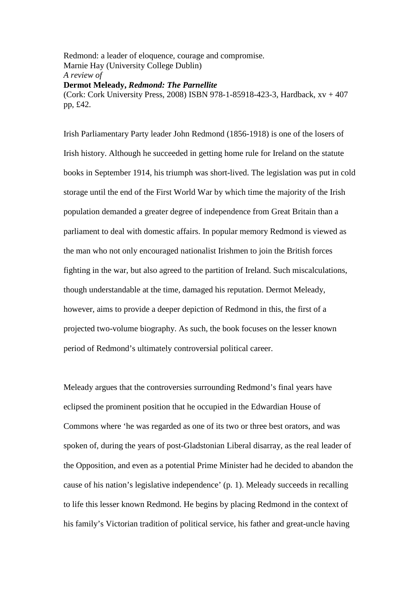Redmond: a leader of eloquence, courage and compromise. Marnie Hay (University College Dublin) *A review of*  **Dermot Meleady,** *Redmond: The Parnellite* (Cork: Cork University Press, 2008) ISBN 978-1-85918-423-3, Hardback, xv + 407 pp, £42.

Irish Parliamentary Party leader John Redmond (1856-1918) is one of the losers of Irish history. Although he succeeded in getting home rule for Ireland on the statute books in September 1914, his triumph was short-lived. The legislation was put in cold storage until the end of the First World War by which time the majority of the Irish population demanded a greater degree of independence from Great Britain than a parliament to deal with domestic affairs. In popular memory Redmond is viewed as the man who not only encouraged nationalist Irishmen to join the British forces fighting in the war, but also agreed to the partition of Ireland. Such miscalculations, though understandable at the time, damaged his reputation. Dermot Meleady, however, aims to provide a deeper depiction of Redmond in this, the first of a projected two-volume biography. As such, the book focuses on the lesser known period of Redmond's ultimately controversial political career.

Meleady argues that the controversies surrounding Redmond's final years have eclipsed the prominent position that he occupied in the Edwardian House of Commons where 'he was regarded as one of its two or three best orators, and was spoken of, during the years of post-Gladstonian Liberal disarray, as the real leader of the Opposition, and even as a potential Prime Minister had he decided to abandon the cause of his nation's legislative independence' (p. 1). Meleady succeeds in recalling to life this lesser known Redmond. He begins by placing Redmond in the context of his family's Victorian tradition of political service, his father and great-uncle having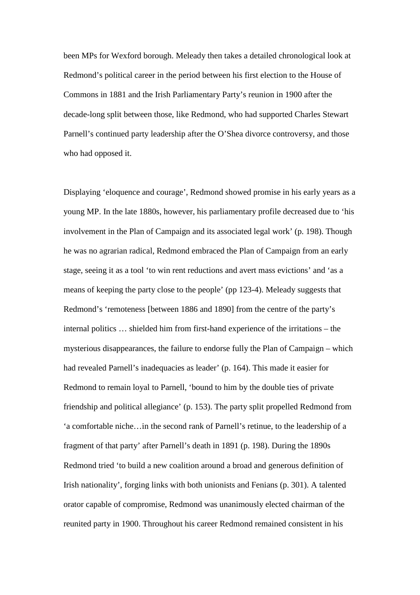been MPs for Wexford borough. Meleady then takes a detailed chronological look at Redmond's political career in the period between his first election to the House of Commons in 1881 and the Irish Parliamentary Party's reunion in 1900 after the decade-long split between those, like Redmond, who had supported Charles Stewart Parnell's continued party leadership after the O'Shea divorce controversy, and those who had opposed it.

Displaying 'eloquence and courage', Redmond showed promise in his early years as a young MP. In the late 1880s, however, his parliamentary profile decreased due to 'his involvement in the Plan of Campaign and its associated legal work' (p. 198). Though he was no agrarian radical, Redmond embraced the Plan of Campaign from an early stage, seeing it as a tool 'to win rent reductions and avert mass evictions' and 'as a means of keeping the party close to the people' (pp 123-4). Meleady suggests that Redmond's 'remoteness [between 1886 and 1890] from the centre of the party's internal politics … shielded him from first-hand experience of the irritations – the mysterious disappearances, the failure to endorse fully the Plan of Campaign – which had revealed Parnell's inadequacies as leader' (p. 164). This made it easier for Redmond to remain loyal to Parnell, 'bound to him by the double ties of private friendship and political allegiance' (p. 153). The party split propelled Redmond from 'a comfortable niche…in the second rank of Parnell's retinue, to the leadership of a fragment of that party' after Parnell's death in 1891 (p. 198). During the 1890s Redmond tried 'to build a new coalition around a broad and generous definition of Irish nationality', forging links with both unionists and Fenians (p. 301). A talented orator capable of compromise, Redmond was unanimously elected chairman of the reunited party in 1900. Throughout his career Redmond remained consistent in his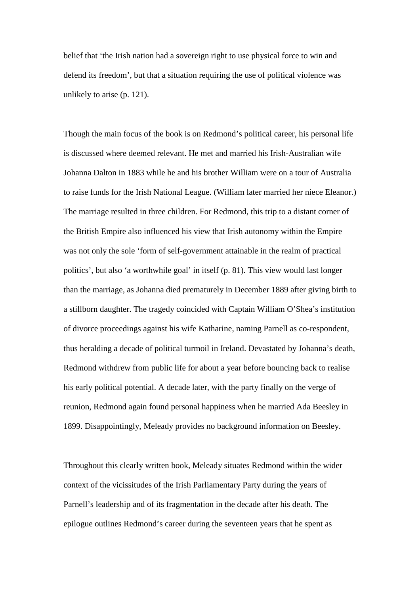belief that 'the Irish nation had a sovereign right to use physical force to win and defend its freedom', but that a situation requiring the use of political violence was unlikely to arise (p. 121).

Though the main focus of the book is on Redmond's political career, his personal life is discussed where deemed relevant. He met and married his Irish-Australian wife Johanna Dalton in 1883 while he and his brother William were on a tour of Australia to raise funds for the Irish National League. (William later married her niece Eleanor.) The marriage resulted in three children. For Redmond, this trip to a distant corner of the British Empire also influenced his view that Irish autonomy within the Empire was not only the sole 'form of self-government attainable in the realm of practical politics', but also 'a worthwhile goal' in itself (p. 81). This view would last longer than the marriage, as Johanna died prematurely in December 1889 after giving birth to a stillborn daughter. The tragedy coincided with Captain William O'Shea's institution of divorce proceedings against his wife Katharine, naming Parnell as co-respondent, thus heralding a decade of political turmoil in Ireland. Devastated by Johanna's death, Redmond withdrew from public life for about a year before bouncing back to realise his early political potential. A decade later, with the party finally on the verge of reunion, Redmond again found personal happiness when he married Ada Beesley in 1899. Disappointingly, Meleady provides no background information on Beesley.

Throughout this clearly written book, Meleady situates Redmond within the wider context of the vicissitudes of the Irish Parliamentary Party during the years of Parnell's leadership and of its fragmentation in the decade after his death. The epilogue outlines Redmond's career during the seventeen years that he spent as